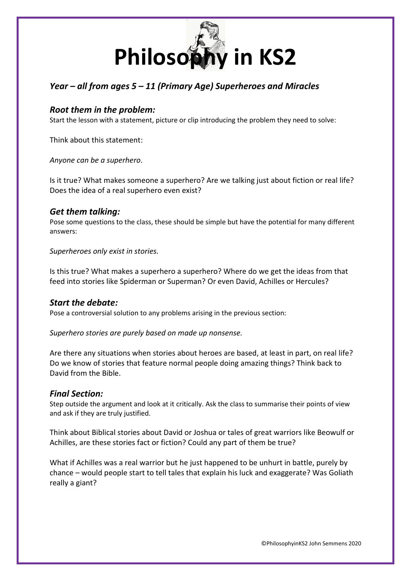

# *Year – all from ages 5 – 11 (Primary Age) Superheroes and Miracles*

### *Root them in the problem:*

Start the lesson with a statement, picture or clip introducing the problem they need to solve:

Think about this statement:

*Anyone can be a superhero*.

Is it true? What makes someone a superhero? Are we talking just about fiction or real life? Does the idea of a real superhero even exist?

#### *Get them talking:*

Pose some questions to the class, these should be simple but have the potential for many different answers:

*Superheroes only exist in stories.* 

Is this true? What makes a superhero a superhero? Where do we get the ideas from that feed into stories like Spiderman or Superman? Or even David, Achilles or Hercules?

#### *Start the debate:*

Pose a controversial solution to any problems arising in the previous section:

*Superhero stories are purely based on made up nonsense.* 

Are there any situations when stories about heroes are based, at least in part, on real life? Do we know of stories that feature normal people doing amazing things? Think back to David from the Bible.

#### *Final Section:*

Step outside the argument and look at it critically. Ask the class to summarise their points of view and ask if they are truly justified.

Think about Biblical stories about David or Joshua or tales of great warriors like Beowulf or Achilles, are these stories fact or fiction? Could any part of them be true?

What if Achilles was a real warrior but he just happened to be unhurt in battle, purely by chance – would people start to tell tales that explain his luck and exaggerate? Was Goliath really a giant?